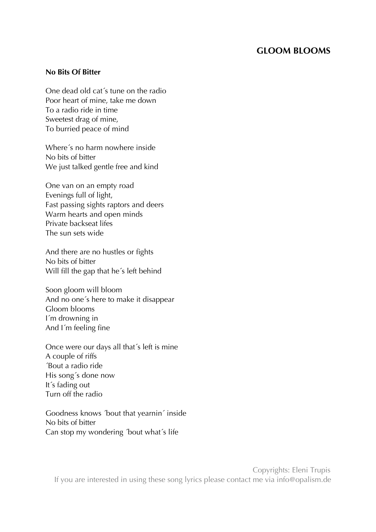# **GLOOM BLOOMS**

#### **No Bits Of Bitter**

One dead old cat´s tune on the radio Poor heart of mine, take me down To a radio ride in time Sweetest drag of mine, To burried peace of mind

Where´s no harm nowhere inside No bits of bitter We just talked gentle free and kind

One van on an empty road Evenings full of light, Fast passing sights raptors and deers Warm hearts and open minds Private backseat lifes The sun sets wide

And there are no hustles or fights No bits of bitter Will fill the gap that he´s left behind

Soon gloom will bloom And no one´s here to make it disappear Gloom blooms I´m drowning in And I´m feeling fine

Once were our days all that´s left is mine A couple of riffs ´Bout a radio ride His song´s done now It´s fading out Turn off the radio

Goodness knows ´bout that yearnin´ inside No bits of bitter Can stop my wondering ´bout what´s life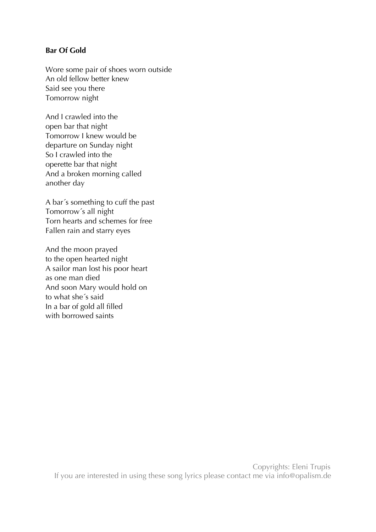# **Bar Of Gold**

Wore some pair of shoes worn outside An old fellow better knew Said see you there Tomorrow night

And I crawled into the open bar that night Tomorrow I knew would be departure on Sunday night So I crawled into the operette bar that night And a broken morning called another day

A bar´s something to cuff the past Tomorrow´s all night Torn hearts and schemes for free Fallen rain and starry eyes

And the moon prayed to the open hearted night A sailor man lost his poor heart as one man died And soon Mary would hold on to what she´s said In a bar of gold all filled with borrowed saints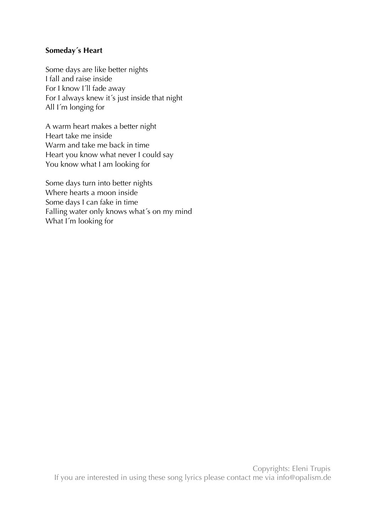## **Someday´s Heart**

Some days are like better nights I fall and raise inside For I know I´ll fade away For I always knew it´s just inside that night All I´m longing for

A warm heart makes a better night Heart take me inside Warm and take me back in time Heart you know what never I could say You know what I am looking for

Some days turn into better nights Where hearts a moon inside Some days I can fake in time Falling water only knows what´s on my mind What I´m looking for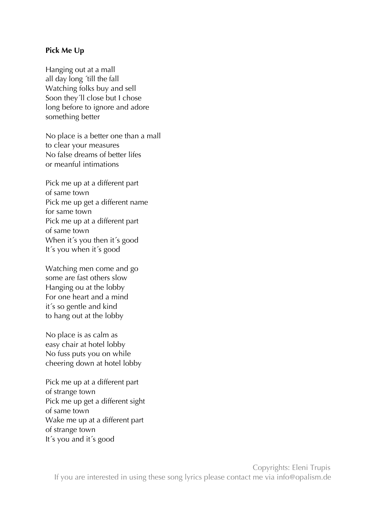### **Pick Me Up**

Hanging out at a mall all day long ´till the fall Watching folks buy and sell Soon they´ll close but I chose long before to ignore and adore something better

No place is a better one than a mall to clear your measures No false dreams of better lifes or meanful intimations

Pick me up at a different part of same town Pick me up get a different name for same town Pick me up at a different part of same town When it's you then it's good It´s you when it´s good

Watching men come and go some are fast others slow Hanging ou at the lobby For one heart and a mind it´s so gentle and kind to hang out at the lobby

No place is as calm as easy chair at hotel lobby No fuss puts you on while cheering down at hotel lobby

Pick me up at a different part of strange town Pick me up get a different sight of same town Wake me up at a different part of strange town It´s you and it´s good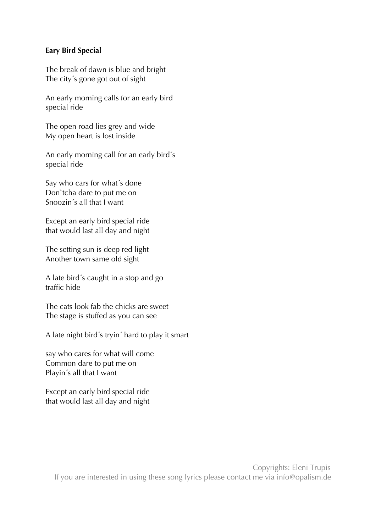# **Eary Bird Special**

The break of dawn is blue and bright The city´s gone got out of sight

An early morning calls for an early bird special ride

The open road lies grey and wide My open heart is lost inside

An early morning call for an early bird´s special ride

Say who cars for what´s done Don`tcha dare to put me on Snoozin´s all that I want

Except an early bird special ride that would last all day and night

The setting sun is deep red light Another town same old sight

A late bird´s caught in a stop and go traffic hide

The cats look fab the chicks are sweet The stage is stuffed as you can see

A late night bird´s tryin´ hard to play it smart

say who cares for what will come Common dare to put me on Playin´s all that I want

Except an early bird special ride that would last all day and night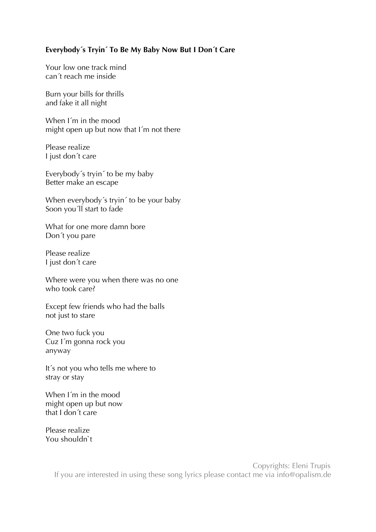### **Everybody´s Tryin´ To Be My Baby Now But I Don´t Care**

Your low one track mind can´t reach me inside

Burn your bills for thrills and fake it all night

When I´m in the mood might open up but now that I´m not there

Please realize I just don´t care

Everybody´s tryin´ to be my baby Better make an escape

When everybody´s tryin´ to be your baby Soon you'll start to fade

What for one more damn bore Don´t you pare

Please realize I just don´t care

Where were you when there was no one who took care?

Except few friends who had the balls not just to stare

One two fuck you Cuz I´m gonna rock you anyway

It´s not you who tells me where to stray or stay

When I´m in the mood might open up but now that I don´t care

Please realize You shouldn`t